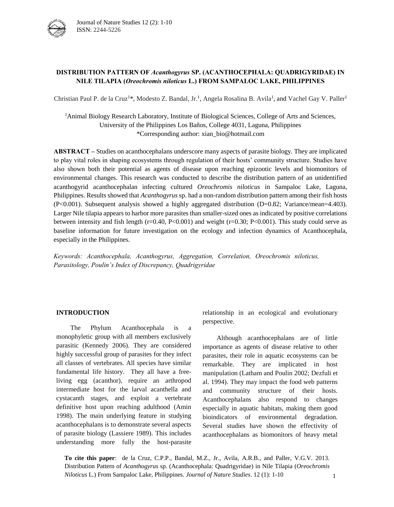

# **DISTRIBUTION PATTERN OF** *Acanthogyrus* **SP. (ACANTHOCEPHALA: QUADRIGYRIDAE) IN NILE TILAPIA (***Oreochromis niloticus* **L.) FROM SAMPALOC LAKE, PHILIPPINES**

Christian Paul P. de la Cruz<sup>1\*</sup>, Modesto Z. Bandal, Jr.<sup>1</sup>, Angela Rosalina B. Avila<sup>1</sup>, and Vachel Gay V. Paller<sup>1</sup>

<sup>1</sup>Animal Biology Research Laboratory, Institute of Biological Sciences, College of Arts and Sciences, University of the Philippines Los Baños, College 4031, Laguna, Philippines \*Corresponding author: xian\_bio@hotmail.com

**ABSTRACT –** Studies on acanthocephalans underscore many aspects of parasite biology. They are implicated to play vital roles in shaping ecosystems through regulation of their hosts' community structure. Studies have also shown both their potential as agents of disease upon reaching epizootic levels and biomonitors of environmental changes. This research was conducted to describe the distribution pattern of an unidentified acanthogyrid acanthocephalan infecting cultured *Oreochromis niloticus* in Sampaloc Lake, Laguna, Philippines. Results showed that *Acanthogyrus* sp. had a non-random distribution pattern among their fish hosts (P<0.001). Subsequent analysis showed a highly aggregated distribution (D=0.82; Variance/mean=4.403). Larger Nile tilapia appears to harbor more parasites than smaller-sized ones as indicated by positive correlations between intensity and fish length ( $r=0.40$ , P<0.001) and weight ( $r=0.30$ ; P<0.001). This study could serve as baseline information for future investigation on the ecology and infection dynamics of Acanthocephala, especially in the Philippines.

*Keywords: Acanthocephala, Acanthogyrus, Aggregation, Correlation, Oreochromis niloticus, Parasitology, Poulin's Index of Discrepancy, Quadrigyridae*

### **INTRODUCTION**

The Phylum Acanthocephala is a monophyletic group with all members exclusively parasitic (Kennedy 2006). They are considered highly successful group of parasites for they infect all classes of vertebrates. All species have similar fundamental life history. They all have a freeliving egg (acanthor), require an arthropod intermediate host for the larval acanthella and cystacanth stages, and exploit a vertebrate definitive host upon reaching adulthood (Amin 1998). The main underlying feature in studying acanthocephalans is to demonstrate several aspects of parasite biology (Lassiere 1989). This includes understanding more fully the host-parasite relationship in an ecological and evolutionary perspective.

Although acanthocephalans are of little importance as agents of disease relative to other parasites, their role in aquatic ecosystems can be remarkable. They are implicated in host manipulation (Latham and Poulin 2002; Dezfuli et al. 1994). They may impact the food web patterns and community structure of their hosts. Acanthocephalans also respond to changes especially in aquatic habitats, making them good bioindicators of environmental degradation. Several studies have shown the effectivity of acanthocephalans as biomonitors of heavy metal

**To cite this paper**: de la Cruz, C.P.P., Bandal, M.Z., Jr., Avila, A.R.B., and Paller, V.G.V. 2013. Distribution Pattern of *Acanthogyrus* sp. (Acanthocephala: Quadrigyridae) in Nile Tilapia (*Oreochromis Niloticus* L.) From Sampaloc Lake, Philippines. *Journal of Nature Studies*. 12 (1): 1-10 1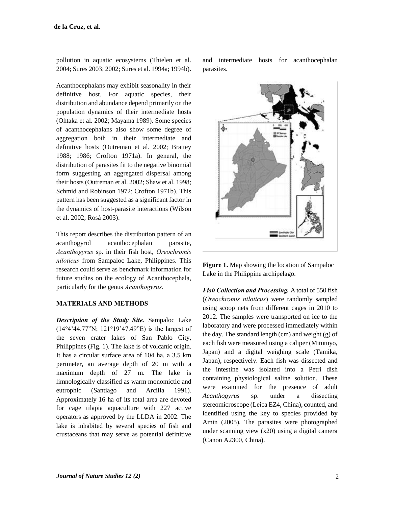pollution in aquatic ecosystems (Thielen et al. 2004; Sures 2003; 2002; Sures et al. 1994a; 1994b).

Acanthocephalans may exhibit seasonality in their definitive host. For aquatic species, their distribution and abundance depend primarily on the population dynamics of their intermediate hosts (Ohtaka et al. 2002; Mayama 1989). Some species of acanthocephalans also show some degree of aggregation both in their intermediate and definitive hosts (Outreman et al. 2002; Brattey 1988; 1986; Crofton 1971a). In general, the distribution of parasites fit to the negative binomial form suggesting an aggregated dispersal among their hosts (Outreman et al. 2002; Shaw et al. 1998; Schmid and Robinson 1972; Crofton 1971b). This pattern has been suggested as a significant factor in the dynamics of host-parasite interactions (Wilson et al. 2002; Rosà 2003).

This report describes the distribution pattern of an acanthogyrid acanthocephalan parasite, *Acanthogyrus* sp. in their fish host, *Oreochromis niloticus* from Sampaloc Lake, Philippines. This research could serve as benchmark information for future studies on the ecology of Acanthocephala, particularly for the genus *Acanthogyrus*.

# **MATERIALS AND METHODS**

*Description of the Study Site.* Sampaloc Lake (14°4'44.77"N; 121°19'47.49"E) is the largest of the seven crater lakes of San Pablo City, Philippines (Fig. 1). The lake is of volcanic origin. It has a circular surface area of 104 ha, a 3.5 km perimeter, an average depth of 20 m with a maximum depth of 27 m. The lake is limnologically classified as warm monomictic and eutrophic (Santiago and Arcilla 1991). Approximately 16 ha of its total area are devoted for cage tilapia aquaculture with 227 active operators as approved by the LLDA in 2002. The lake is inhabited by several species of fish and crustaceans that may serve as potential definitive

and intermediate hosts for acanthocephalan parasites.



**Figure 1.** Map showing the location of Sampaloc Lake in the Philippine archipelago.

*Fish Collection and Processing.* A total of 550 fish (*Oreochromis niloticus*) were randomly sampled using scoop nets from different cages in 2010 to 2012. The samples were transported on ice to the laboratory and were processed immediately within the day. The standard length (cm) and weight (g) of each fish were measured using a caliper (Mitutuyo, Japan) and a digital weighing scale (Tamika, Japan), respectively. Each fish was dissected and the intestine was isolated into a Petri dish containing physiological saline solution. These were examined for the presence of adult *Acanthogyrus* sp. under a dissecting stereomicroscope (Leica EZ4, China), counted, and identified using the key to species provided by Amin (2005). The parasites were photographed under scanning view (x20) using a digital camera (Canon A2300, China).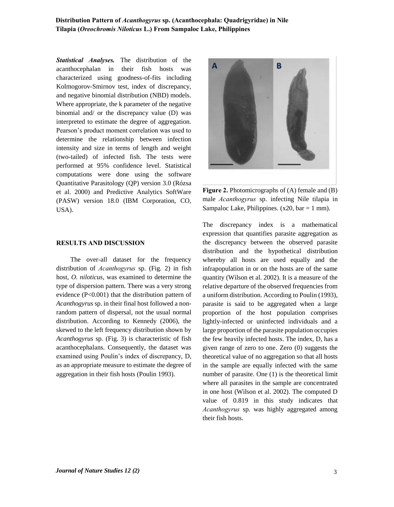## **Distribution Pattern of** *Acanthogyrus* **sp. (Acanthocephala: Quadrigyridae) in Nile Tilapia (***Oreochromis Niloticus* **L.) From Sampaloc Lake, Philippines**

*Statistical Analyses.* The distribution of the acanthocephalan in their fish hosts was characterized using goodness-of-fits including Kolmogorov-Smirnov test, index of discrepancy, and negative binomial distribution (NBD) models. Where appropriate, the k parameter of the negative binomial and/ or the discrepancy value (D) was interpreted to estimate the degree of aggregation. Pearson's product moment correlation was used to determine the relationship between infection intensity and size in terms of length and weight (two-tailed) of infected fish. The tests were performed at 95% confidence level. Statistical computations were done using the software Quantitative Parasitology (QP) version 3.0 (Rózsa et al. 2000) and Predictive Analytics SoftWare (PASW) version 18.0 (IBM Corporation, CO, USA).

#### **RESULTS AND DISCUSSION**

The over-all dataset for the frequency distribution of *Acanthogyrus* sp. (Fig. 2) in fish host, *O. niloticus*, was examined to determine the type of dispersion pattern. There was a very strong evidence (P<0.001) that the distribution pattern of *Acanthogyrus* sp. in their final host followed a nonrandom pattern of dispersal, not the usual normal distribution. According to Kennedy (2006), the skewed to the left frequency distribution shown by *Acanthogyrus* sp. (Fig. 3) is characteristic of fish acanthocephalans. Consequently, the dataset was examined using Poulin's index of discrepancy, D, as an appropriate measure to estimate the degree of aggregation in their fish hosts (Poulin 1993).





The discrepancy index is a mathematical expression that quantifies parasite aggregation as the discrepancy between the observed parasite distribution and the hypothetical distribution whereby all hosts are used equally and the infrapopulation in or on the hosts are of the same quantity (Wilson et al. 2002). It is a measure of the relative departure of the observed frequencies from a uniform distribution. According to Poulin (1993), parasite is said to be aggregated when a large proportion of the host population comprises lightly-infected or uninfected individuals and a large proportion of the parasite population occupies the few heavily infected hosts. The index, D, has a given range of zero to one. Zero (0) suggests the theoretical value of no aggregation so that all hosts in the sample are equally infected with the same number of parasite. One (1) is the theoretical limit where all parasites in the sample are concentrated in one host (Wilson et al. 2002). The computed D value of 0.819 in this study indicates that *Acanthogyrus* sp. was highly aggregated among their fish hosts.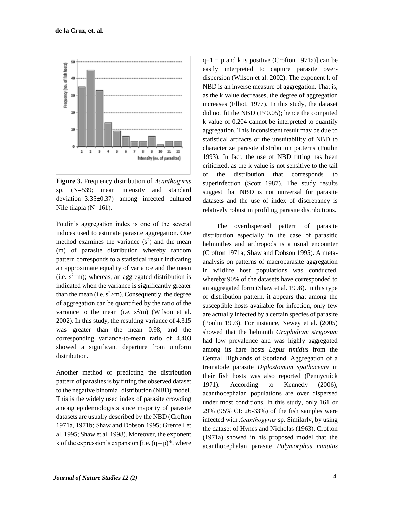

**Figure 3.** Frequency distribution of *Acanthogyrus* sp. (N=539; mean intensity and standard deviation=3.35±0.37) among infected cultured Nile tilapia (N=161).

Poulin's aggregation index is one of the several indices used to estimate parasite aggregation. One method examines the variance  $(s^2)$  and the mean (m) of parasite distribution whereby random pattern corresponds to a statistical result indicating an approximate equality of variance and the mean (i.e.  $s^2=m$ ); whereas, an aggregated distribution is indicated when the variance is significantly greater than the mean (i.e.  $s^2>m$ ). Consequently, the degree of aggregation can be quantified by the ratio of the variance to the mean (i.e.  $s^2/m$ ) (Wilson et al. 2002). In this study, the resulting variance of 4.315 was greater than the mean 0.98, and the corresponding variance-to-mean ratio of 4.403 showed a significant departure from uniform distribution.

Another method of predicting the distribution pattern of parasites is by fitting the observed dataset to the negative binomial distribution (NBD) model. This is the widely used index of parasite crowding among epidemiologists since majority of parasite datasets are usually described by the NBD (Crofton 1971a, 1971b; Shaw and Dobson 1995; Grenfell et al. 1995; Shaw et al. 1998). Moreover, the exponent k of the expression's expansion [i.e.  $(q - p)^{-k}$ , where  $q=1 + p$  and k is positive (Crofton 1971a)] can be easily interpreted to capture parasite overdispersion (Wilson et al. 2002). The exponent k of NBD is an inverse measure of aggregation. That is, as the k value decreases, the degree of aggregation increases (Elliot, 1977). In this study, the dataset did not fit the NBD (P<0.05); hence the computed k value of 0.204 cannot be interpreted to quantify aggregation. This inconsistent result may be due to statistical artifacts or the unsuitability of NBD to characterize parasite distribution patterns (Poulin 1993). In fact, the use of NBD fitting has been criticized, as the k value is not sensitive to the tail of the distribution that corresponds to superinfection (Scott 1987). The study results suggest that NBD is not universal for parasite datasets and the use of index of discrepancy is relatively robust in profiling parasite distributions.

The overdispersed pattern of parasite distribution especially in the case of parasitic helminthes and arthropods is a usual encounter (Crofton 1971a; Shaw and Dobson 1995). A metaanalysis on patterns of macroparasite aggregation in wildlife host populations was conducted, whereby 90% of the datasets have corresponded to an aggregated form (Shaw et al. 1998). In this type of distribution pattern, it appears that among the susceptible hosts available for infection, only few are actually infected by a certain species of parasite (Poulin 1993). For instance, Newey et al. (2005) showed that the helminth *Graphidium strigosum* had low prevalence and was highly aggregated among its hare hosts *Lepus timidus* from the Central Highlands of Scotland. Aggregation of a trematode parasite *Diplostomum spathaceum* in their fish hosts was also reported (Pennycuick 1971). According to Kennedy (2006), acanthocephalan populations are over dispersed under most conditions. In this study, only 161 or 29% (95% CI: 26-33%) of the fish samples were infected with *Acanthogyrus* sp. Similarly, by using the dataset of Hynes and Nicholas (1963), Crofton (1971a) showed in his proposed model that the acanthocephalan parasite *Polymorphus minutus*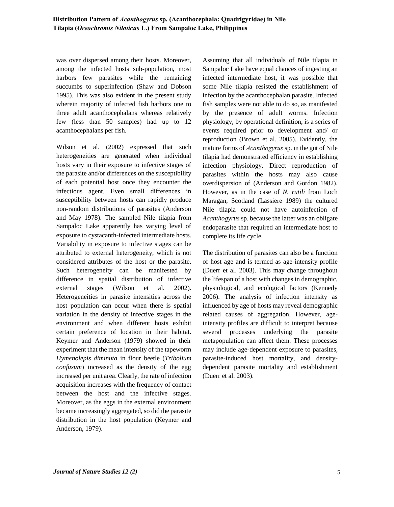was over dispersed among their hosts. Moreover, among the infected hosts sub-population, most harbors few parasites while the remaining succumbs to superinfection (Shaw and Dobson 1995). This was also evident in the present study wherein majority of infected fish harbors one to three adult acanthocephalans whereas relatively few (less than 50 samples) had up to 12 acanthocephalans per fish.

Wilson et al. (2002) expressed that such heterogeneities are generated when individual hosts vary in their exposure to infective stages of the parasite and/or differences on the susceptibility of each potential host once they encounter the infectious agent. Even small differences in susceptibility between hosts can rapidly produce non-random distributions of parasites (Anderson and May 1978). The sampled Nile tilapia from Sampaloc Lake apparently has varying level of exposure to cystacanth-infected intermediate hosts. Variability in exposure to infective stages can be attributed to external heterogeneity, which is not considered attributes of the host or the parasite. Such heterogeneity can be manifested by difference in spatial distribution of infective external stages (Wilson et al. 2002). Heterogeneities in parasite intensities across the host population can occur when there is spatial variation in the density of infective stages in the environment and when different hosts exhibit certain preference of location in their habitat. Keymer and Anderson (1979) showed in their experiment that the mean intensity of the tapeworm *Hymenolepis diminuta* in flour beetle (*Tribolium confusum*) increased as the density of the egg increased per unit area. Clearly, the rate of infection acquisition increases with the frequency of contact between the host and the infective stages. Moreover, as the eggs in the external environment became increasingly aggregated, so did the parasite distribution in the host population (Keymer and Anderson, 1979).

Assuming that all individuals of Nile tilapia in Sampaloc Lake have equal chances of ingesting an infected intermediate host, it was possible that some Nile tilapia resisted the establishment of infection by the acanthocephalan parasite. Infected fish samples were not able to do so, as manifested by the presence of adult worms. Infection physiology, by operational definition, is a series of events required prior to development and/ or reproduction (Brown et al. 2005). Evidently, the mature forms of *Acanthogyrus* sp. in the gut of Nile tilapia had demonstrated efficiency in establishing infection physiology. Direct reproduction of parasites within the hosts may also cause overdispersion of (Anderson and Gordon 1982). However, as in the case of *N. rutili* from Loch Maragan, Scotland (Lassiere 1989) the cultured Nile tilapia could not have autoinfection of *Acanthogyrus* sp. because the latter was an obligate endoparasite that required an intermediate host to complete its life cycle.

The distribution of parasites can also be a function of host age and is termed as age-intensity profile (Duerr et al. 2003). This may change throughout the lifespan of a host with changes in demographic, physiological, and ecological factors (Kennedy 2006). The analysis of infection intensity as influenced by age of hosts may reveal demographic related causes of aggregation. However, ageintensity profiles are difficult to interpret because several processes underlying the parasite metapopulation can affect them. These processes may include age-dependent exposure to parasites, parasite-induced host mortality, and densitydependent parasite mortality and establishment (Duerr et al. 2003).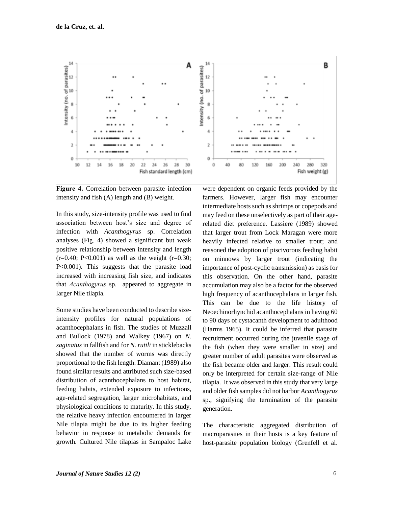

**Figure 4.** Correlation between parasite infection intensity and fish (A) length and (B) weight.

In this study, size-intensity profile was used to find association between host's size and degree of infection with *Acanthogyrus* sp. Correlation analyses (Fig. 4) showed a significant but weak positive relationship between intensity and length  $(r=0.40; P<0.001)$  as well as the weight  $(r=0.30;$ P<0.001). This suggests that the parasite load increased with increasing fish size, and indicates that *Acanthogyrus* sp. appeared to aggregate in larger Nile tilapia.

Some studies have been conducted to describe sizeintensity profiles for natural populations of acanthocephalans in fish. The studies of Muzzall and Bullock (1978) and Walkey (1967) on *N. saginatus* in fallfish and for *N. rutili* in sticklebacks showed that the number of worms was directly proportional to the fish length. Diamant (1989) also found similar results and attributed such size-based distribution of acanthocephalans to host habitat, feeding habits, extended exposure to infections, age-related segregation, larger microhabitats, and physiological conditions to maturity. In this study, the relative heavy infection encountered in larger Nile tilapia might be due to its higher feeding behavior in response to metabolic demands for growth. Cultured Nile tilapias in Sampaloc Lake



were dependent on organic feeds provided by the farmers. However, larger fish may encounter intermediate hosts such as shrimps or copepods and may feed on these unselectively as part of their agerelated diet preference. Lassiere (1989) showed that larger trout from Lock Maragan were more heavily infected relative to smaller trout; and reasoned the adoption of piscivorous feeding habit on minnows by larger trout (indicating the importance of post-cyclic transmission) as basis for this observation. On the other hand, parasite accumulation may also be a factor for the observed high frequency of acanthocephalans in larger fish. This can be due to the life history of Neoechinorhynchid acanthocephalans in having 60 to 90 days of cystacanth development to adulthood (Harms 1965). It could be inferred that parasite recruitment occurred during the juvenile stage of the fish (when they were smaller in size) and greater number of adult parasites were observed as the fish became older and larger. This result could only be interpreted for certain size-range of Nile tilapia. It was observed in this study that very large and older fish samples did not harbor *Acanthogyrus* sp., signifying the termination of the parasite generation.

The characteristic aggregated distribution of macroparasites in their hosts is a key feature of host-parasite population biology (Grenfell et al.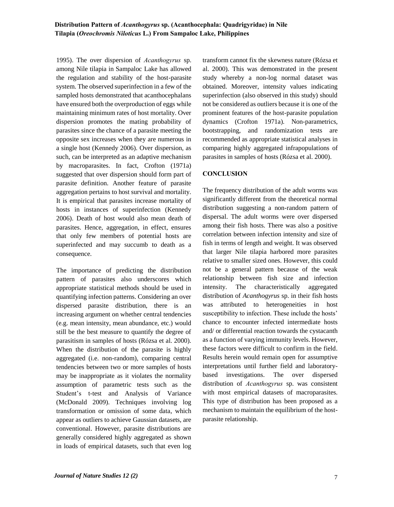1995). The over dispersion of *Acanthogyrus* sp. among Nile tilapia in Sampaloc Lake has allowed the regulation and stability of the host-parasite system. The observed superinfection in a few of the sampled hosts demonstrated that acanthocephalans have ensured both the overproduction of eggs while maintaining minimum rates of host mortality. Over dispersion promotes the mating probability of parasites since the chance of a parasite meeting the opposite sex increases when they are numerous in a single host (Kennedy 2006). Over dispersion, as such, can be interpreted as an adaptive mechanism by macroparasites. In fact, Crofton (1971a) suggested that over dispersion should form part of parasite definition. Another feature of parasite aggregation pertains to host survival and mortality. It is empirical that parasites increase mortality of hosts in instances of superinfection (Kennedy 2006). Death of host would also mean death of parasites. Hence, aggregation, in effect, ensures that only few members of potential hosts are superinfected and may succumb to death as a consequence.

The importance of predicting the distribution pattern of parasites also underscores which appropriate statistical methods should be used in quantifying infection patterns. Considering an over dispersed parasite distribution, there is an increasing argument on whether central tendencies (e.g. mean intensity, mean abundance, etc.) would still be the best measure to quantify the degree of parasitism in samples of hosts (Rózsa et al. 2000). When the distribution of the parasite is highly aggregated (i.e. non-random), comparing central tendencies between two or more samples of hosts may be inappropriate as it violates the normality assumption of parametric tests such as the Student's t-test and Analysis of Variance (McDonald 2009). Techniques involving log transformation or omission of some data, which appear as outliers to achieve Gaussian datasets, are conventional. However, parasite distributions are generally considered highly aggregated as shown in loads of empirical datasets, such that even log transform cannot fix the skewness nature (Rózsa et al. 2000). This was demonstrated in the present study whereby a non-log normal dataset was obtained. Moreover, intensity values indicating superinfection (also observed in this study) should not be considered as outliers because it is one of the prominent features of the host-parasite population dynamics (Crofton 1971a). Non-parametrics, bootstrapping, and randomization tests are recommended as appropriate statistical analyses in comparing highly aggregated infrapopulations of parasites in samples of hosts (Rózsa et al. 2000).

## **CONCLUSION**

The frequency distribution of the adult worms was significantly different from the theoretical normal distribution suggesting a non-random pattern of dispersal. The adult worms were over dispersed among their fish hosts. There was also a positive correlation between infection intensity and size of fish in terms of length and weight. It was observed that larger Nile tilapia harbored more parasites relative to smaller sized ones. However, this could not be a general pattern because of the weak relationship between fish size and infection intensity. The characteristically aggregated distribution of *Acanthogyrus* sp. in their fish hosts was attributed to heterogeneities in host susceptibility to infection. These include the hosts' chance to encounter infected intermediate hosts and/ or differential reaction towards the cystacanth as a function of varying immunity levels. However, these factors were difficult to confirm in the field. Results herein would remain open for assumptive interpretations until further field and laboratorybased investigations. The over dispersed distribution of *Acanthogyrus* sp. was consistent with most empirical datasets of macroparasites. This type of distribution has been proposed as a mechanism to maintain the equilibrium of the hostparasite relationship.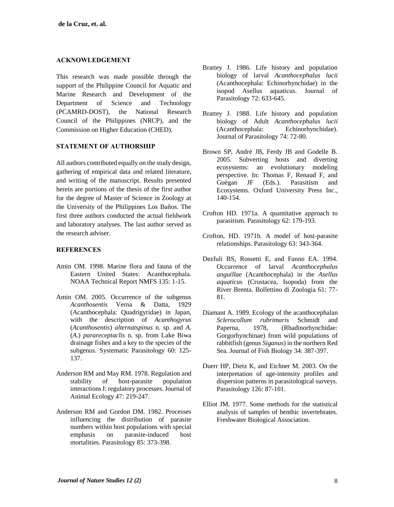## **ACKNOWLEDGEMENT**

This research was made possible through the support of the Philippine Council for Aquatic and Marine Research and Development of the Department of Science and Technology (PCAMRD-DOST), the National Research Council of the Philippines (NRCP), and the Commission on Higher Education (CHED).

## **STATEMENT OF AUTHORSHIP**

All authors contributed equally on the study design, gathering of empirical data and related literature, and writing of the manuscript. Results presented herein are portions of the thesis of the first author for the degree of Master of Science in Zoology at the University of the Philippines Los Baños. The first three authors conducted the actual fieldwork and laboratory analyses. The last author served as the research adviser.

## **REFERENCES**

- Amin OM. 1998. Marine flora and fauna of the Eastern United States: Acanthocephala. NOAA Technical Report NMFS 135: 1-15.
- Amin OM. 2005. Occurrence of the subgenus *Acanthosentis* Verna & Datta, 1929 (Acanthocephala: Quadrigyridae) in Japan, with the description of *Acanthogyrus* (*Acanthosentis*) *alternatspinus* n. sp. and *A*. (*A*.) *parareceptaclis* n. sp. from Lake Biwa drainage fishes and a key to the species of the subgenus. Systematic Parasitology 60: 125- 137.
- Anderson RM and May RM. 1978. Regulation and stability of host-parasite population interactions I: regulatory processes. Journal of Animal Ecology 47: 219-247.
- Anderson RM and Gordon DM. 1982. Processes influencing the distribution of parasite numbers within host populations with special emphasis on parasite-induced host mortalities. Parasitology 85: 373-398.
- Brattey J. 1986. Life history and population biology of larval *Acanthocephalus lucii* (Acanthocephala: Echinorhynchidae) in the isopod Asellus aquaticus. Journal of Parasitology 72: 633-645.
- Brattey J. 1988. Life history and population biology of Adult *Acanthocephalus lucii* (Acanthocephala: Echinorhynchidae). Journal of Parasitology 74: 72-80.
- Brown SP, Andrè JB, Ferdy JB and Godelle B. 2005. Subverting hosts and diverting ecosystems: an evolutionary modeling perspective. In: Thomas F, Renaud F, and Guègan JF (Eds.). Parasitism and Ecosystems. Oxford University Press Inc., 140-154.
- Crofton HD. 1971a. A quantitative approach to parasitism. Parasitology 62: 179-193.
- Crofton, HD. 1971b. A model of host-parasite relationships. Parasitology 63: 343-364.
- Dezfuli BS, Rossetti E, and Fanno EA, 1994. Occurrence of larval *Acanthocephalus anguillae* (Acanthocephala) in the *Asellus aquaticu*s (Crustacea, Isopoda) from the River Brenta. Bollettino di Zoologia 61: 77- 81.
- Diamant A. 1989. Ecology of the acanthocephalan *Sclerocollum rubrimaris* Schmidt and Paperna, 1978, (Rhadinorhynchidae: Gorgorhynchinae) from wild populations of rabbitfish (genus *Siganus*) in the northern Red Sea. Journal of Fish Biology 34: 387-397.
- Duerr HP, Dietz K, and Eichner M. 2003. On the interpretation of age-intensity profiles and dispersion patterns in parasitological surveys. Parasitology 126: 87-101.
- Elliot JM. 1977. Some methods for the statistical analysis of samples of benthic invertebrates. Freshwater Biological Association.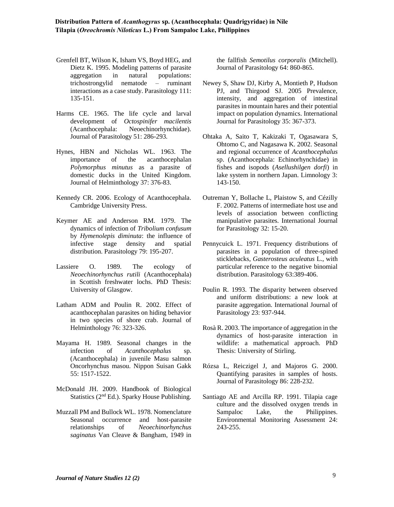- Grenfell BT, Wilson K, Isham VS, Boyd HEG, and Dietz K. 1995. Modeling patterns of parasite aggregation in natural populations: trichostrongylid nematode – ruminant interactions as a case study. Parasitology 111: 135-151.
- Harms CE. 1965. The life cycle and larval development of *Octospinifer macilentis* (Acanthocephala: Neoechinorhynchidae). Journal of Parasitology 51: 286-293.
- Hynes, HBN and Nicholas WL. 1963. The importance of the acanthocephalan *Polymorphus minutus* as a parasite of domestic ducks in the United Kingdom. Journal of Helminthology 37: 376-83.
- Kennedy CR. 2006. Ecology of Acanthocephala. Cambridge University Press.
- Keymer AE and Anderson RM. 1979. The dynamics of infection of *Tribolium confusum* by *Hymenolepis diminuta*: the influence of infective stage density and spatial infective stage density and spatial distribution. Parasitology 79: 195-207.
- Lassiere O. 1989. The ecology of *Neoechinorhynchus rutili* (Acanthocephala) in Scottish freshwater lochs. PhD Thesis: University of Glasgow.
- Latham ADM and Poulin R. 2002. Effect of acanthocephalan parasites on hiding behavior in two species of shore crab. Journal of Helminthology 76: 323-326.
- Mayama H. 1989. Seasonal changes in the infection of *Acanthocephalus* sp. (Acanthocephala) in juvenile Masu salmon Oncorhynchus masou. Nippon Suisan Gakk 55: 1517-1522.
- McDonald JH. 2009. Handbook of Biological Statistics (2nd Ed.). Sparky House Publishing.
- Muzzall PM and Bullock WL. 1978. Nomenclature Seasonal occurrence and host-parasite relationships of *Neoechinorhynchus saginatus* Van Cleave & Bangham, 1949 in

the fallfish *Semotilus corporalis* (Mitchell). Journal of Parasitology 64: 860-865.

- Newey S, Shaw DJ, Kirby A, Montieth P, Hudson PJ, and Thirgood SJ. 2005 Prevalence, intensity, and aggregation of intestinal parasites in mountain hares and their potential impact on population dynamics. International Journal for Parasitology 35: 367-373.
- Ohtaka A, Saito T, Kakizaki T, Ogasawara S, Ohtomo C, and Nagasawa K. 2002. Seasonal and regional occurrence of *Acanthocephalus* sp. (Acanthocephala: Echinorhynchidae) in fishes and isopods (*Asellushilgen dorfi*) in lake system in northern Japan. Limnology 3: 143-150.
- Outreman Y, Bollache L, Plaistow S, and Cézilly F. 2002. Patterns of intermediate host use and levels of association between conflicting manipulative parasites. International Journal for Parasitology 32: 15-20.
- Pennycuick L. 1971. Frequency distributions of parasites in a population of three-spined sticklebacks, *Gasterosteus aculeatus* L., with particular reference to the negative binomial distribution. Parasitology 63:389-406.
- Poulin R. 1993. The disparity between observed and uniform distributions: a new look at parasite aggregation. International Journal of Parasitology 23: 937-944.
- Rosà R. 2003. The importance of aggregation in the dynamics of host-parasite interaction in wildlife: a mathematical approach. PhD Thesis: University of Stirling.
- Rózsa L, Reiczigel J, and Majoros G. 2000. Quantifying parasites in samples of hosts. Journal of Parasitology 86: 228-232.
- Santiago AE and Arcilla RP. 1991. Tilapia cage culture and the dissolved oxygen trends in Sampaloc Lake, the Philippines. Environmental Monitoring Assessment 24: 243-255.